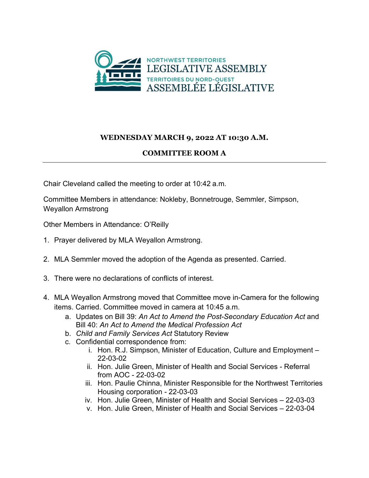

## **WEDNESDAY MARCH 9, 2022 AT 10:30 A.M.**

## **COMMITTEE ROOM A**

Chair Cleveland called the meeting to order at 10:42 a.m.

Committee Members in attendance: Nokleby, Bonnetrouge, Semmler, Simpson, Weyallon Armstrong

Other Members in Attendance: O'Reilly

- 1. Prayer delivered by MLA Weyallon Armstrong.
- 2. MLA Semmler moved the adoption of the Agenda as presented. Carried.
- 3. There were no declarations of conflicts of interest.
- 4. MLA Weyallon Armstrong moved that Committee move in-Camera for the following items. Carried. Committee moved in camera at 10:45 a.m.
	- a. Updates on Bill 39: *An Act to Amend the Post-Secondary Education Act* and Bill 40: *An Act to Amend the Medical Profession Act*
	- b. *Child and Family Services Act* Statutory Review
	- c. Confidential correspondence from:
		- i. Hon. R.J. Simpson, Minister of Education, Culture and Employment 22-03-02
		- ii. Hon. Julie Green, Minister of Health and Social Services Referral from AOC - 22-03-02
		- iii. Hon. Paulie Chinna, Minister Responsible for the Northwest Territories Housing corporation - 22-03-03
		- iv. Hon. Julie Green, Minister of Health and Social Services 22-03-03
		- v. Hon. Julie Green, Minister of Health and Social Services 22-03-04